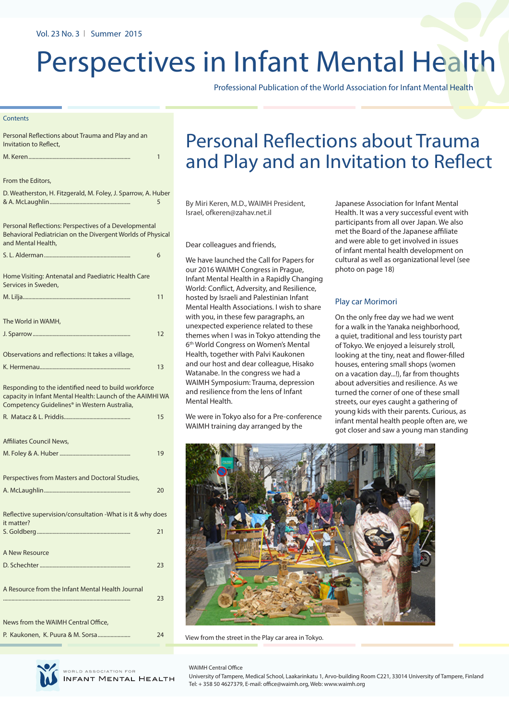# Perspectives in Infant Mental Health

Professional Publication of the World Association for Infant Mental Health

#### **Contents**

| Personal Reflections about Trauma and Play and an<br>Invitation to Reflect,                                                                                       |    |
|-------------------------------------------------------------------------------------------------------------------------------------------------------------------|----|
|                                                                                                                                                                   | 1  |
|                                                                                                                                                                   |    |
| From the Editors,                                                                                                                                                 |    |
| D. Weatherston, H. Fitzgerald, M. Foley, J. Sparrow, A. Huber                                                                                                     | 5  |
| Personal Reflections: Perspectives of a Developmental<br>Behavioral Pediatrician on the Divergent Worlds of Physical<br>and Mental Health,                        |    |
|                                                                                                                                                                   | 6  |
| Home Visiting: Antenatal and Paediatric Health Care<br>Services in Sweden,                                                                                        |    |
|                                                                                                                                                                   | 11 |
| The World in WAMH,                                                                                                                                                |    |
|                                                                                                                                                                   | 12 |
| Observations and reflections: It takes a village,                                                                                                                 |    |
|                                                                                                                                                                   | 13 |
| Responding to the identified need to build workforce<br>capacity in Infant Mental Health: Launch of the AAIMHI WA<br>Competency Guidelines® in Western Australia, |    |
|                                                                                                                                                                   | 15 |
| Affiliates Council News,                                                                                                                                          | 19 |
| Perspectives from Masters and Doctoral Studies,                                                                                                                   |    |
|                                                                                                                                                                   | 20 |
| Reflective supervision/consultation -What is it & why does<br>it matter?                                                                                          | 21 |
|                                                                                                                                                                   |    |
| A New Resource                                                                                                                                                    |    |
|                                                                                                                                                                   | 23 |
| A Resource from the Infant Mental Health Journal                                                                                                                  | 23 |
| News from the WAIMH Central Office,                                                                                                                               |    |
|                                                                                                                                                                   | 24 |

# Personal Reflections about Trauma and Play and an Invitation to Reflect

By Miri Keren, M.D., WAIMH President, Israel, ofkeren@zahav.net.il

Dear colleagues and friends,

We have launched the Call for Papers for our 2016 WAIMH Congress in Prague, Infant Mental Health in a Rapidly Changing World: Conflict, Adversity, and Resilience, hosted by Israeli and Palestinian Infant Mental Health Associations. I wish to share with you, in these few paragraphs, an unexpected experience related to these themes when I was in Tokyo attending the 6th World Congress on Women's Mental Health, together with Palvi Kaukonen and our host and dear colleague, Hisako Watanabe. In the congress we had a WAIMH Symposium: Trauma, depression and resilience from the lens of Infant Mental Health.

We were in Tokyo also for a Pre-conference WAIMH training day arranged by the

Japanese Association for Infant Mental Health. It was a very successful event with participants from all over Japan. We also met the Board of the Japanese affiliate and were able to get involved in issues of infant mental health development on cultural as well as organizational level (see photo on page 18)

#### Play car Morimori

On the only free day we had we went for a walk in the Yanaka neighborhood, a quiet, traditional and less touristy part of Tokyo. We enjoyed a leisurely stroll, looking at the tiny, neat and flower-filled houses, entering small shops (women on a vacation day...!), far from thoughts about adversities and resilience. As we turned the corner of one of these small streets, our eyes caught a gathering of young kids with their parents. Curious, as infant mental health people often are, we got closer and saw a young man standing



View from the street in the Play car area in Tokyo.



**INFANT MENTAL HEALTH** 

WAIMH Central Office

University of Tampere, Medical School, Laakarinkatu 1, Arvo-building Room C221, 33014 University of Tampere, Finland Tel: + 358 50 4627379, E-mail: office@waimh.org, Web: www.waimh.org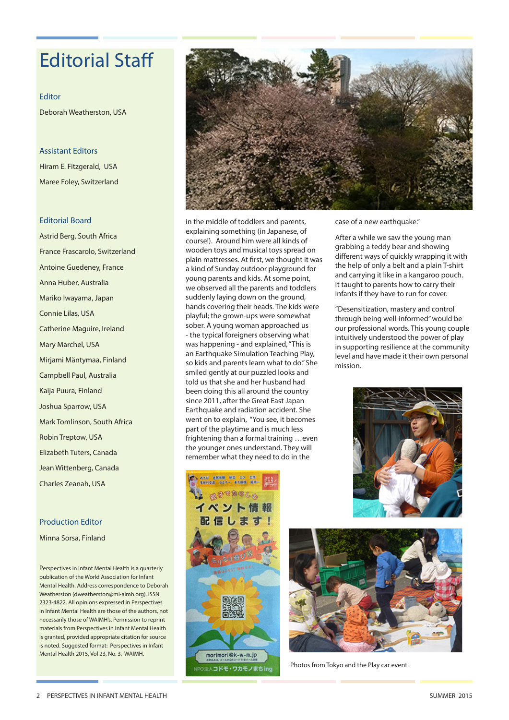# Editorial Staff

Editor Deborah Weatherston, USA

Assistant Editors

Hiram E. Fitzgerald, USA Maree Foley, Switzerland

### Editorial Board

Astrid Berg, South Africa France Frascarolo, Switzerland Antoine Guedeney, France Anna Huber, Australia Mariko Iwayama, Japan Connie Lilas, USA Catherine Maguire, Ireland Mary Marchel, USA Mirjami Mäntymaa, Finland Campbell Paul, Australia Kaija Puura, Finland Joshua Sparrow, USA Mark Tomlinson, South Africa Robin Treptow, USA Elizabeth Tuters, Canada Jean Wittenberg, Canada Charles Zeanah, USA

### Production Editor

Minna Sorsa, Finland

Perspectives in Infant Mental Health is a quarterly publication of the World Association for Infant Mental Health. Address correspondence to Deborah Weatherston (dweatherston@mi-aimh.org). ISSN 2323-4822. All opinions expressed in Perspectives in Infant Mental Health are those of the authors, not necessarily those of WAIMH's. Permission to reprint materials from Perspectives in Infant Mental Health is granted, provided appropriate citation for source is noted. Suggested format: Perspectives in Infant Mental Health 2015, Vol 23, No. 3, WAIMH.



in the middle of toddlers and parents, explaining something (in Japanese, of course!). Around him were all kinds of wooden toys and musical toys spread on plain mattresses. At first, we thought it was a kind of Sunday outdoor playground for young parents and kids. At some point, we observed all the parents and toddlers suddenly laying down on the ground, hands covering their heads. The kids were playful; the grown-ups were somewhat sober. A young woman approached us - the typical foreigners observing what was happening - and explained, "This is an Earthquake Simulation Teaching Play, so kids and parents learn what to do." She smiled gently at our puzzled looks and told us that she and her husband had been doing this all around the country since 2011, after the Great East Japan Earthquake and radiation accident. She went on to explain, "You see, it becomes part of the playtime and is much less frightening than a formal training …even the younger ones understand. They will remember what they need to do in the



case of a new earthquake."

After a while we saw the young man grabbing a teddy bear and showing different ways of quickly wrapping it with the help of only a belt and a plain T-shirt and carrying it like in a kangaroo pouch. It taught to parents how to carry their infants if they have to run for cover.

"Desensitization, mastery and control through being well-informed" would be our professional words. This young couple intuitively understood the power of play in supporting resilience at the community level and have made it their own personal mission.





Photos from Tokyo and the Play car event.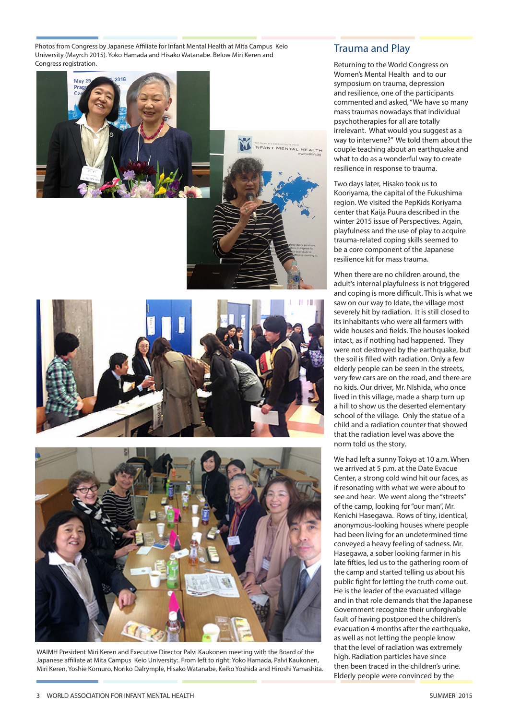Photos from Congress by Japanese Affiliate for Infant Mental Health at Mita Campus Keio University (Mayrch 2015). Yoko Hamada and Hisako Watanabe. Below Miri Keren and Congress registration.









WAIMH President Miri Keren and Executive Director Palvi Kaukonen meeting with the Board of the Japanese affiliate at Mita Campus Keio University:. From left to right: Yoko Hamada, Palvi Kaukonen, Miri Keren, Yoshie Komuro, Noriko Dalrymple, Hisako Watanabe, Keiko Yoshida and Hiroshi Yamashita.

### Trauma and Play

Returning to the World Congress on Women's Mental Health and to our symposium on trauma, depression and resilience, one of the participants commented and asked, "We have so many mass traumas nowadays that individual psychotherapies for all are totally irrelevant. What would you suggest as a way to intervene?" We told them about the couple teaching about an earthquake and what to do as a wonderful way to create resilience in response to trauma.

Two days later, Hisako took us to Kooriyama, the capital of the Fukushima region. We visited the PepKids Koriyama center that Kaija Puura described in the winter 2015 issue of Perspectives. Again, playfulness and the use of play to acquire trauma-related coping skills seemed to be a core component of the Japanese resilience kit for mass trauma.

When there are no children around, the adult's internal playfulness is not triggered and coping is more difficult. This is what we saw on our way to Idate, the village most severely hit by radiation. It is still closed to its inhabitants who were all farmers with wide houses and fields. The houses looked intact, as if nothing had happened. They were not destroyed by the earthquake, but the soil is filled with radiation. Only a few elderly people can be seen in the streets, very few cars are on the road, and there are no kids. Our driver, Mr. NIshida, who once lived in this village, made a sharp turn up a hill to show us the deserted elementary school of the village. Only the statue of a child and a radiation counter that showed that the radiation level was above the norm told us the story.

We had left a sunny Tokyo at 10 a.m. When we arrived at 5 p.m. at the Date Evacue Center, a strong cold wind hit our faces, as if resonating with what we were about to see and hear. We went along the "streets" of the camp, looking for "our man", Mr. Kenichi Hasegawa. Rows of tiny, identical, anonymous-looking houses where people had been living for an undetermined time conveyed a heavy feeling of sadness. Mr. Hasegawa, a sober looking farmer in his late fifties, led us to the gathering room of the camp and started telling us about his public fight for letting the truth come out. He is the leader of the evacuated village and in that role demands that the Japanese Government recognize their unforgivable fault of having postponed the children's evacuation 4 months after the earthquake, as well as not letting the people know that the level of radiation was extremely high. Radiation particles have since then been traced in the children's urine. Elderly people were convinced by the